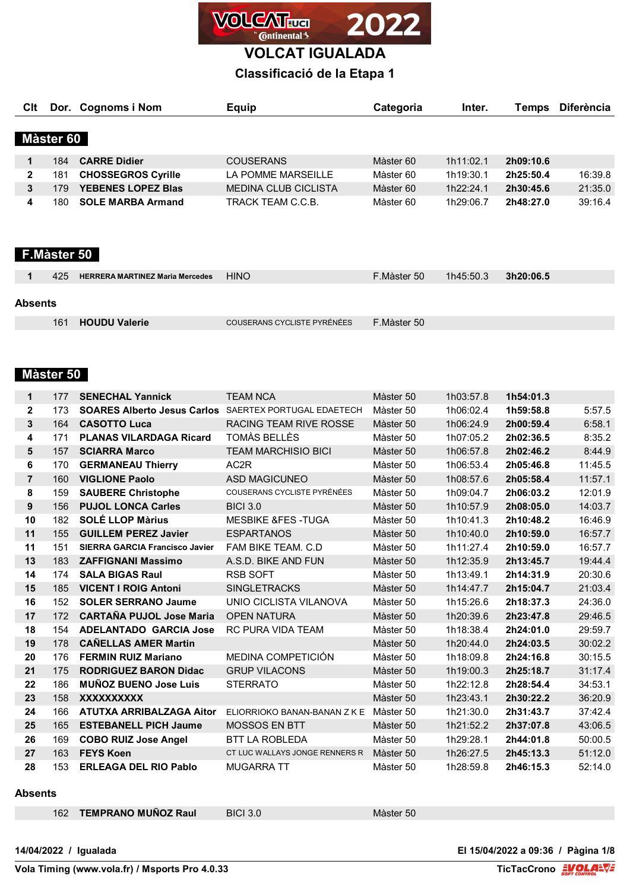

## **Classificació de la Etapa 1**

| Clt       |     | Dor. Cognoms i Nom        | <b>Equip</b>                | Categoria | Inter.    | <b>Temps</b> | <b>Diferència</b> |  |  |
|-----------|-----|---------------------------|-----------------------------|-----------|-----------|--------------|-------------------|--|--|
|           |     |                           |                             |           |           |              |                   |  |  |
| Màster 60 |     |                           |                             |           |           |              |                   |  |  |
|           | 184 | <b>CARRE Didier</b>       | <b>COUSERANS</b>            | Màster 60 | 1h11:02.1 | 2h09:10.6    |                   |  |  |
| 2         | 181 | <b>CHOSSEGROS Cyrille</b> | LA POMME MARSEILLE          | Màster 60 | 1h19:30.1 | 2h25:50.4    | 16:39.8           |  |  |
| 3         | 79  | <b>YEBENES LOPEZ Blas</b> | <b>MEDINA CLUB CICLISTA</b> | Màster 60 | 1h22:24.1 | 2h30:45.6    | 21:35.0           |  |  |
| 4         | 180 | <b>SOLE MARBA Armand</b>  | TRACK TEAM C.C.B.           | Màster 60 | 1h29:06.7 | 2h48:27.0    | 39:16.4           |  |  |

### **F.Màster 50**

|         | 425 | <b>HERRERA MARTINEZ Maria Mercedes</b> | <b>HINO</b>                 | F.Màster 50 | 1h45:50.3 | 3h20:06.5 |
|---------|-----|----------------------------------------|-----------------------------|-------------|-----------|-----------|
| Absents |     |                                        |                             |             |           |           |
|         | 161 | <b>HOUDU Valerie</b>                   | COUSERANS CYCLISTE PYRÉNÉES | F.Màster 50 |           |           |

### **Màster 50**

| 1              | 177 | <b>SENECHAL Yannick</b>                                      | <b>TEAM NCA</b>                | Màster 50 | 1h03:57.8 | 1h54:01.3 |         |
|----------------|-----|--------------------------------------------------------------|--------------------------------|-----------|-----------|-----------|---------|
| $\mathbf{2}$   | 173 | <b>SOARES Alberto Jesus Carlos</b> SAERTEX PORTUGAL EDAETECH |                                | Màster 50 | 1h06:02.4 | 1h59:58.8 | 5:57.5  |
| 3              | 164 | <b>CASOTTO Luca</b>                                          | <b>RACING TEAM RIVE ROSSE</b>  | Màster 50 | 1h06:24.9 | 2h00:59.4 | 6:58.1  |
| 4              | 171 | <b>PLANAS VILARDAGA Ricard</b>                               | TOMÀS BELLÈS                   | Màster 50 | 1h07:05.2 | 2h02:36.5 | 8:35.2  |
| 5              | 157 | <b>SCIARRA Marco</b>                                         | <b>TEAM MARCHISIO BICI</b>     | Màster 50 | 1h06:57.8 | 2h02:46.2 | 8:44.9  |
| 6              | 170 | <b>GERMANEAU Thierry</b>                                     | AC2R                           | Màster 50 | 1h06:53.4 | 2h05:46.8 | 11:45.5 |
| $\overline{7}$ | 160 | <b>VIGLIONE Paolo</b>                                        | <b>ASD MAGICUNEO</b>           | Màster 50 | 1h08:57.6 | 2h05:58.4 | 11:57.1 |
| 8              | 159 | <b>SAUBERE Christophe</b>                                    | COUSERANS CYCLISTE PYRÉNÉES    | Màster 50 | 1h09:04.7 | 2h06:03.2 | 12:01.9 |
| 9              | 156 | <b>PUJOL LONCA Carles</b>                                    | <b>BICI 3.0</b>                | Màster 50 | 1h10:57.9 | 2h08:05.0 | 14:03.7 |
| 10             | 182 | <b>SOLÉ LLOP Marius</b>                                      | <b>MESBIKE &amp;FES-TUGA</b>   | Màster 50 | 1h10:41.3 | 2h10:48.2 | 16:46.9 |
| 11             | 155 | <b>GUILLEM PEREZ Javier</b>                                  | <b>ESPARTANOS</b>              | Màster 50 | 1h10:40.0 | 2h10:59.0 | 16:57.7 |
| 11             | 151 | <b>SIERRA GARCIA Francisco Javier</b>                        | FAM BIKE TEAM, C.D.            | Màster 50 | 1h11:27.4 | 2h10:59.0 | 16:57.7 |
| 13             | 183 | <b>ZAFFIGNANI Massimo</b>                                    | A.S.D. BIKE AND FUN            | Màster 50 | 1h12:35.9 | 2h13:45.7 | 19:44.4 |
| 14             | 174 | <b>SALA BIGAS Raul</b>                                       | <b>RSB SOFT</b>                | Màster 50 | 1h13:49.1 | 2h14:31.9 | 20:30.6 |
| 15             | 185 | <b>VICENT I ROIG Antoni</b>                                  | <b>SINGLETRACKS</b>            | Màster 50 | 1h14:47.7 | 2h15:04.7 | 21:03.4 |
| 16             | 152 | <b>SOLER SERRANO Jaume</b>                                   | UNIO CICLISTA VILANOVA         | Màster 50 | 1h15:26.6 | 2h18:37.3 | 24:36.0 |
| 17             | 172 | <b>CARTAÑA PUJOL Jose Maria</b>                              | <b>OPEN NATURA</b>             | Màster 50 | 1h20:39.6 | 2h23:47.8 | 29:46.5 |
| 18             | 154 | <b>ADELANTADO GARCIA Jose</b>                                | <b>RC PURA VIDA TEAM</b>       | Màster 50 | 1h18:38.4 | 2h24:01.0 | 29:59.7 |
| 19             | 178 | <b>CAÑELLAS AMER Martin</b>                                  |                                | Màster 50 | 1h20:44.0 | 2h24:03.5 | 30:02.2 |
| 20             | 176 | <b>FERMIN RUIZ Mariano</b>                                   | MEDINA COMPETICIÓN             | Màster 50 | 1h18:09.8 | 2h24:16.8 | 30:15.5 |
| 21             | 175 | <b>RODRIGUEZ BARON Didac</b>                                 | <b>GRUP VILACONS</b>           | Màster 50 | 1h19:00.3 | 2h25:18.7 | 31:17.4 |
| 22             | 186 | <b>MUNOZ BUENO Jose Luis</b>                                 | <b>STERRATO</b>                | Màster 50 | 1h22:12.8 | 2h28:54.4 | 34:53.1 |
| 23             | 158 | <b>XXXXXXXXXX</b>                                            |                                | Màster 50 | 1h23:43.1 | 2h30:22.2 | 36:20.9 |
| 24             | 166 | ATUTXA ARRIBALZAGA Aitor                                     | ELIORRIOKO BANAN-BANAN Z K E   | Màster 50 | 1h21:30.0 | 2h31:43.7 | 37:42.4 |
| 25             | 165 | <b>ESTEBANELL PICH Jaume</b>                                 | <b>MOSSOS EN BTT</b>           | Màster 50 | 1h21:52.2 | 2h37:07.8 | 43:06.5 |
| 26             | 169 | <b>COBO RUIZ Jose Angel</b>                                  | <b>BTT LA ROBLEDA</b>          | Màster 50 | 1h29:28.1 | 2h44:01.8 | 50:00.5 |
| 27             | 163 | <b>FEYS Koen</b>                                             | CT LUC WALLAYS JONGE RENNERS R | Màster 50 | 1h26:27.5 | 2h45:13.3 | 51:12.0 |
| 28             | 153 | <b>ERLEAGA DEL RIO Pablo</b>                                 | <b>MUGARRA TT</b>              | Màster 50 | 1h28:59.8 | 2h46:15.3 | 52:14.0 |

Màster 50

#### **Absents**

| 162 TEMPRANO MUÑOZ Raul | <b>BICI 3.0</b> |
|-------------------------|-----------------|
|-------------------------|-----------------|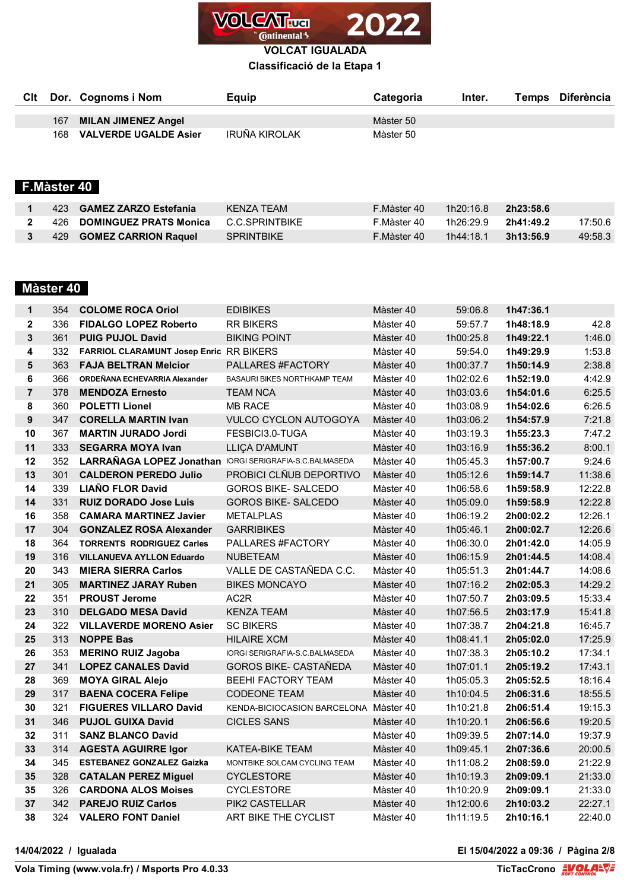

### **Classificació de la Etapa 1**

|  | Cit Dor. Cognoms i Nom    | Equip         | <b>Categoria</b> | Inter. | Temps Diferència |
|--|---------------------------|---------------|------------------|--------|------------------|
|  |                           |               |                  |        |                  |
|  | 167 MILAN JIMENEZ Angel   |               | Màster 50        |        |                  |
|  | 168 VALVERDE UGALDE Asier | IRUÑA KIROLAK | Màster 50        |        |                  |

# **F.Màster 40**

|  | 423 GAMEZ ZARZO Estefania       | KFNZA TFAM        | F Màster 40 | 1h20:16.8 | 2h23:58.6 |         |
|--|---------------------------------|-------------------|-------------|-----------|-----------|---------|
|  | 426 DOMINGUEZ PRATS Monica      | C.C.SPRINTBIKF    | F.Màster 40 | 1h26:29.9 | 2h41:49.2 | 17:50.6 |
|  | 429 <b>GOMEZ CARRION Raquel</b> | <b>SPRINTBIKE</b> | F.Màster 40 | 1h44:18.1 | 3h13:56.9 | 49:58.3 |

## **Màster 40**

| 1              | 354 | <b>COLOME ROCA Oriol</b>                                       | <b>EDIBIKES</b>                       | Màster 40 | 59:06.8   | 1h47:36.1 |         |
|----------------|-----|----------------------------------------------------------------|---------------------------------------|-----------|-----------|-----------|---------|
| $\mathbf{2}$   | 336 | <b>FIDALGO LOPEZ Roberto</b>                                   | <b>RR BIKERS</b>                      | Màster 40 | 59:57.7   | 1h48:18.9 | 42.8    |
| $\mathbf{3}$   | 361 | <b>PUIG PUJOL David</b>                                        | <b>BIKING POINT</b>                   | Màster 40 | 1h00:25.8 | 1h49:22.1 | 1:46.0  |
| 4              | 332 | FARRIOL CLARAMUNT Josep Enric RR BIKERS                        |                                       | Màster 40 | 59:54.0   | 1h49:29.9 | 1:53.8  |
| 5              | 363 | <b>FAJA BELTRAN Melcior</b>                                    | PALLARES #FACTORY                     | Màster 40 | 1h00:37.7 | 1h50:14.9 | 2:38.8  |
| 6              | 366 | ORDEÑANA ECHEVARRIA Alexander                                  | BASAURI BIKES NORTHKAMP TEAM          | Màster 40 | 1h02:02.6 | 1h52:19.0 | 4:42.9  |
| $\overline{7}$ | 378 | <b>MENDOZA Ernesto</b>                                         | <b>TEAM NCA</b>                       | Màster 40 | 1h03:03.6 | 1h54:01.6 | 6:25.5  |
| 8              | 360 | <b>POLETTI Lionel</b>                                          | <b>MB RACE</b>                        | Màster 40 | 1h03:08.9 | 1h54:02.6 | 6:26.5  |
| 9              | 347 | <b>CORELLA MARTIN Ivan</b>                                     | <b>VULCO CYCLON AUTOGOYA</b>          | Màster 40 | 1h03:06.2 | 1h54:57.9 | 7:21.8  |
| 10             | 367 | <b>MARTIN JURADO Jordi</b>                                     | FESBICI3.0-TUGA                       | Màster 40 | 1h03:19.3 | 1h55:23.3 | 7:47.2  |
| 11             | 333 | <b>SEGARRA MOYA Ivan</b>                                       | LLIÇA D'AMUNT                         | Màster 40 | 1h03:16.9 | 1h55:36.2 | 8:00.1  |
| 12             | 352 | <b>LARRAÑAGA LOPEZ Jonathan IORGI SERIGRAFIA-S.C.BALMASEDA</b> |                                       | Màster 40 | 1h05:45.3 | 1h57:00.7 | 9:24.6  |
| 13             | 301 | <b>CALDERON PEREDO Julio</b>                                   | PROBICI CLÑUB DEPORTIVO               | Màster 40 | 1h05:12.6 | 1h59:14.7 | 11:38.6 |
| 14             | 339 | <b>LIAÑO FLOR David</b>                                        | <b>GOROS BIKE- SALCEDO</b>            | Màster 40 | 1h06:58.6 | 1h59:58.9 | 12:22.8 |
| 14             | 331 | <b>RUIZ DORADO Jose Luis</b>                                   | <b>GOROS BIKE- SALCEDO</b>            | Màster 40 | 1h05:09.0 | 1h59:58.9 | 12:22.8 |
| 16             | 358 | <b>CAMARA MARTINEZ Javier</b>                                  | <b>METALPLAS</b>                      | Màster 40 | 1h06:19.2 | 2h00:02.2 | 12:26.1 |
| 17             | 304 | <b>GONZALEZ ROSA Alexander</b>                                 | <b>GARRIBIKES</b>                     | Màster 40 | 1h05:46.1 | 2h00:02.7 | 12:26.6 |
| 18             | 364 | <b>TORRENTS RODRIGUEZ Carles</b>                               | PALLARES #FACTORY                     | Màster 40 | 1h06:30.0 | 2h01:42.0 | 14:05.9 |
| 19             | 316 | <b>VILLANUEVA AYLLON Eduardo</b>                               | <b>NUBETEAM</b>                       | Màster 40 | 1h06:15.9 | 2h01:44.5 | 14:08.4 |
| 20             | 343 | <b>MIERA SIERRA Carlos</b>                                     | VALLE DE CASTAÑEDA C.C.               | Màster 40 | 1h05:51.3 | 2h01:44.7 | 14:08.6 |
| 21             | 305 | <b>MARTINEZ JARAY Ruben</b>                                    | <b>BIKES MONCAYO</b>                  | Màster 40 | 1h07:16.2 | 2h02:05.3 | 14:29.2 |
| 22             | 351 | <b>PROUST Jerome</b>                                           | AC2R                                  | Màster 40 | 1h07:50.7 | 2h03:09.5 | 15:33.4 |
| 23             | 310 | <b>DELGADO MESA David</b>                                      | <b>KENZA TEAM</b>                     | Màster 40 | 1h07:56.5 | 2h03:17.9 | 15:41.8 |
| 24             | 322 | <b>VILLAVERDE MORENO Asier</b>                                 | <b>SC BIKERS</b>                      | Màster 40 | 1h07:38.7 | 2h04:21.8 | 16:45.7 |
| 25             | 313 | <b>NOPPE Bas</b>                                               | <b>HILAIRE XCM</b>                    | Màster 40 | 1h08:41.1 | 2h05:02.0 | 17:25.9 |
| 26             | 353 | <b>MERINO RUIZ Jagoba</b>                                      | IORGI SERIGRAFIA-S.C.BALMASEDA        | Màster 40 | 1h07:38.3 | 2h05:10.2 | 17:34.1 |
| 27             | 341 | <b>LOPEZ CANALES David</b>                                     | <b>GOROS BIKE- CASTANEDA</b>          | Màster 40 | 1h07:01.1 | 2h05:19.2 | 17:43.1 |
| 28             | 369 | <b>MOYA GIRAL Alejo</b>                                        | <b>BEEHI FACTORY TEAM</b>             | Màster 40 | 1h05:05.3 | 2h05:52.5 | 18:16.4 |
| 29             | 317 | <b>BAENA COCERA Felipe</b>                                     | <b>CODEONE TEAM</b>                   | Màster 40 | 1h10:04.5 | 2h06:31.6 | 18:55.5 |
| 30             | 321 | <b>FIGUERES VILLARO David</b>                                  | KENDA-BICIOCASION BARCELONA Màster 40 |           | 1h10:21.8 | 2h06:51.4 | 19:15.3 |
| 31             | 346 | <b>PUJOL GUIXA David</b>                                       | <b>CICLES SANS</b>                    | Màster 40 | 1h10:20.1 | 2h06:56.6 | 19:20.5 |
| 32             | 311 | <b>SANZ BLANCO David</b>                                       |                                       | Màster 40 | 1h09:39.5 | 2h07:14.0 | 19:37.9 |
| 33             | 314 | <b>AGESTA AGUIRRE Igor</b>                                     | <b>KATEA-BIKE TEAM</b>                | Màster 40 | 1h09:45.1 | 2h07:36.6 | 20:00.5 |
| 34             | 345 | <b>ESTEBANEZ GONZALEZ Gaizka</b>                               | MONTBIKE SOLCAM CYCLING TEAM          | Màster 40 | 1h11:08.2 | 2h08:59.0 | 21:22.9 |
| 35             | 328 | <b>CATALAN PEREZ Miguel</b>                                    | <b>CYCLESTORE</b>                     | Màster 40 | 1h10:19.3 | 2h09:09.1 | 21:33.0 |
| 35             | 326 | <b>CARDONA ALOS Moises</b>                                     | <b>CYCLESTORE</b>                     | Màster 40 | 1h10:20.9 | 2h09:09.1 | 21:33.0 |
| 37             | 342 | <b>PAREJO RUIZ Carlos</b>                                      | PIK2 CASTELLAR                        | Màster 40 | 1h12:00.6 | 2h10:03.2 | 22:27.1 |
| 38             |     | 324 VALERO FONT Daniel                                         | ART BIKE THE CYCLIST                  | Màster 40 | 1h11:19.5 | 2h10:16.1 | 22:40.0 |

**14/04/2022 / Igualada El 15/04/2022 a 09:36 / Pàgina 2/8**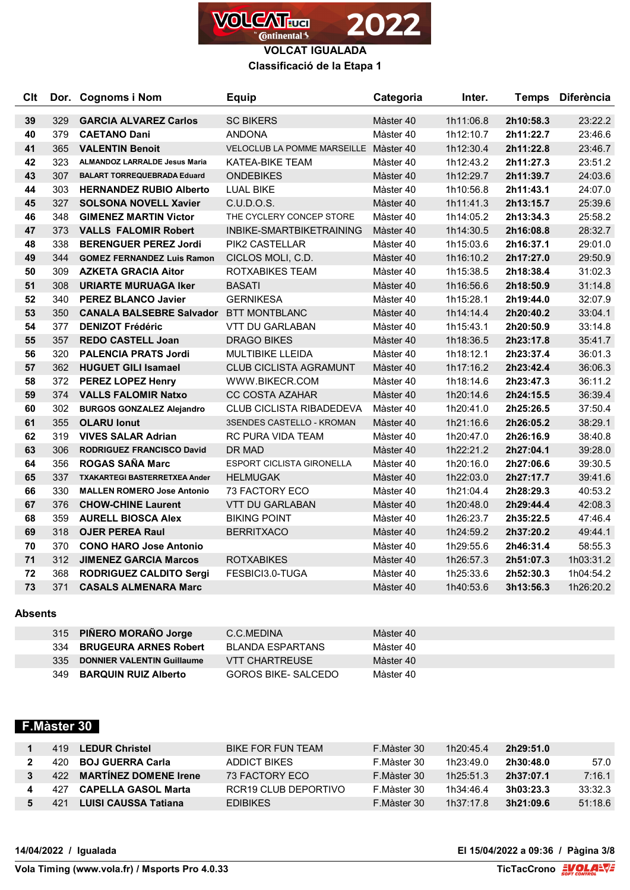

**Classificació de la Etapa 1**

| <b>Clt</b> |     | Dor. Cognoms i Nom                            | <b>Equip</b>                          | Categoria | Inter.    | <b>Temps</b> | <b>Diferència</b> |
|------------|-----|-----------------------------------------------|---------------------------------------|-----------|-----------|--------------|-------------------|
| 39         | 329 | <b>GARCIA ALVAREZ Carlos</b>                  | <b>SC BIKERS</b>                      | Màster 40 | 1h11:06.8 | 2h10:58.3    | 23:22.2           |
| 40         | 379 | <b>CAETANO Dani</b>                           | <b>ANDONA</b>                         | Màster 40 | 1h12:10.7 | 2h11:22.7    | 23:46.6           |
| 41         | 365 | <b>VALENTIN Benoit</b>                        | VELOCLUB LA POMME MARSEILLE Màster 40 |           | 1h12:30.4 | 2h11:22.8    | 23:46.7           |
| 42         | 323 | <b>ALMANDOZ LARRALDE Jesus Maria</b>          | <b>KATEA-BIKE TEAM</b>                | Màster 40 | 1h12:43.2 | 2h11:27.3    | 23:51.2           |
| 43         | 307 | <b>BALART TORREQUEBRADA Eduard</b>            | <b>ONDEBIKES</b>                      | Màster 40 | 1h12:29.7 | 2h11:39.7    | 24:03.6           |
| 44         | 303 | <b>HERNANDEZ RUBIO Alberto</b>                | <b>LUAL BIKE</b>                      | Màster 40 | 1h10:56.8 | 2h11:43.1    | 24:07.0           |
| 45         | 327 | <b>SOLSONA NOVELL Xavier</b>                  | C.U.D.O.S.                            | Màster 40 | 1h11:41.3 | 2h13:15.7    | 25:39.6           |
| 46         | 348 | <b>GIMENEZ MARTIN Victor</b>                  | THE CYCLERY CONCEP STORE              | Màster 40 | 1h14:05.2 | 2h13:34.3    | 25:58.2           |
| 47         | 373 | <b>VALLS FALOMIR Robert</b>                   | INBIKE-SMARTBIKETRAINING              | Màster 40 | 1h14:30.5 | 2h16:08.8    | 28:32.7           |
| 48         | 338 | <b>BERENGUER PEREZ Jordi</b>                  | PIK2 CASTELLAR                        | Màster 40 | 1h15:03.6 | 2h16:37.1    | 29:01.0           |
| 49         | 344 | <b>GOMEZ FERNANDEZ Luis Ramon</b>             | CICLOS MOLI, C.D.                     | Màster 40 | 1h16:10.2 | 2h17:27.0    | 29:50.9           |
| 50         | 309 | <b>AZKETA GRACIA Aitor</b>                    | ROTXABIKES TEAM                       | Màster 40 | 1h15:38.5 | 2h18:38.4    | 31:02.3           |
| 51         | 308 | <b>URIARTE MURUAGA Iker</b>                   | <b>BASATI</b>                         | Màster 40 | 1h16:56.6 | 2h18:50.9    | 31:14.8           |
| 52         | 340 | <b>PEREZ BLANCO Javier</b>                    | <b>GERNIKESA</b>                      | Màster 40 | 1h15:28.1 | 2h19:44.0    | 32:07.9           |
| 53         | 350 | <b>CANALA BALSEBRE Salvador BTT MONTBLANC</b> |                                       | Màster 40 | 1h14:14.4 | 2h20:40.2    | 33:04.1           |
| 54         | 377 | <b>DENIZOT Frédéric</b>                       | <b>VTT DU GARLABAN</b>                | Màster 40 | 1h15:43.1 | 2h20:50.9    | 33:14.8           |
| 55         | 357 | <b>REDO CASTELL Joan</b>                      | <b>DRAGO BIKES</b>                    | Màster 40 | 1h18:36.5 | 2h23:17.8    | 35:41.7           |
| 56         | 320 | <b>PALENCIA PRATS Jordi</b>                   | MULTIBIKE LLEIDA                      | Màster 40 | 1h18:12.1 | 2h23:37.4    | 36:01.3           |
| 57         | 362 | <b>HUGUET GILI Isamael</b>                    | <b>CLUB CICLISTA AGRAMUNT</b>         | Màster 40 | 1h17:16.2 | 2h23:42.4    | 36:06.3           |
| 58         | 372 | <b>PEREZ LOPEZ Henry</b>                      | WWW.BIKECR.COM                        | Màster 40 | 1h18:14.6 | 2h23:47.3    | 36:11.2           |
| 59         | 374 | <b>VALLS FALOMIR Natxo</b>                    | <b>CC COSTA AZAHAR</b>                | Màster 40 | 1h20:14.6 | 2h24:15.5    | 36:39.4           |
| 60         | 302 | <b>BURGOS GONZALEZ Alejandro</b>              | <b>CLUB CICLISTA RIBADEDEVA</b>       | Màster 40 | 1h20:41.0 | 2h25:26.5    | 37:50.4           |
| 61         | 355 | <b>OLARU lonut</b>                            | 3SENDES CASTELLO - KROMAN             | Màster 40 | 1h21:16.6 | 2h26:05.2    | 38:29.1           |
| 62         | 319 | <b>VIVES SALAR Adrian</b>                     | RC PURA VIDA TEAM                     | Màster 40 | 1h20:47.0 | 2h26:16.9    | 38:40.8           |
| 63         | 306 | <b>RODRIGUEZ FRANCISCO David</b>              | DR MAD                                | Màster 40 | 1h22:21.2 | 2h27:04.1    | 39:28.0           |
| 64         | 356 | <b>ROGAS SAÑA Marc</b>                        | <b>ESPORT CICLISTA GIRONELLA</b>      | Màster 40 | 1h20:16.0 | 2h27:06.6    | 39:30.5           |
| 65         | 337 | <b>TXAKARTEGI BASTERRETXEA Ander</b>          | <b>HELMUGAK</b>                       | Màster 40 | 1h22:03.0 | 2h27:17.7    | 39:41.6           |
| 66         | 330 | <b>MALLEN ROMERO Jose Antonio</b>             | 73 FACTORY ECO                        | Màster 40 | 1h21:04.4 | 2h28:29.3    | 40:53.2           |
| 67         | 376 | <b>CHOW-CHINE Laurent</b>                     | <b>VTT DU GARLABAN</b>                | Màster 40 | 1h20:48.0 | 2h29:44.4    | 42:08.3           |
| 68         | 359 | <b>AURELL BIOSCA Alex</b>                     | <b>BIKING POINT</b>                   | Màster 40 | 1h26:23.7 | 2h35:22.5    | 47:46.4           |
| 69         | 318 | <b>OJER PEREA Raul</b>                        | <b>BERRITXACO</b>                     | Màster 40 | 1h24:59.2 | 2h37:20.2    | 49:44.1           |
| 70         | 370 | <b>CONO HARO Jose Antonio</b>                 |                                       | Màster 40 | 1h29:55.6 | 2h46:31.4    | 58:55.3           |
| 71         | 312 | <b>JIMENEZ GARCIA Marcos</b>                  | <b>ROTXABIKES</b>                     | Màster 40 | 1h26:57.3 | 2h51:07.3    | 1h03:31.2         |
| 72         | 368 | <b>RODRIGUEZ CALDITO Sergi</b>                | FESBICI3.0-TUGA                       | Màster 40 | 1h25:33.6 | 2h52:30.3    | 1h04:54.2         |
| 73         | 371 | <b>CASALS ALMENARA Marc</b>                   |                                       | Màster 40 | 1h40:53.6 | 3h13:56.3    | 1h26:20.2         |

#### **Absents**

|     | 315 PIÑERO MORAÑO Jorge           | C.C.MEDINA            | Màster 40 |
|-----|-----------------------------------|-----------------------|-----------|
|     | 334 BRUGEURA ARNES Robert         | BI ANDA FSPARTANS     | Màster 40 |
| 335 | <b>DONNIER VALENTIN Guillaume</b> | <b>VTT CHARTREUSE</b> | Màster 40 |
| 349 | <b>BARQUIN RUIZ Alberto</b>       | GOROS BIKE- SALCEDO   | Màster 40 |

# **F.Màster 30**

| 419  | <b>LEDUR Christel</b>        | BIKE FOR FUN TEAM    | F.Màster 30 | 1h20:45.4 | 2h29:51.0 |         |
|------|------------------------------|----------------------|-------------|-----------|-----------|---------|
| 420. | <b>BOJ GUERRA Carla</b>      | ADDICT BIKES         | F.Màster 30 | 1h23:49.0 | 2h30:48.0 | 57.0    |
| 422  | <b>MARTINEZ DOMENE Irene</b> | 73 FACTORY FCO       | F.Màster 30 | 1h25:51.3 | 2h37:07.1 | 7:16.1  |
|      | CAPELLA GASOL Marta          | RCR19 CLUB DEPORTIVO | F.Màster 30 | 1h34:46.4 | 3h03:23.3 | 33:32.3 |
|      | LUISI CAUSSA Tatiana         | <b>FDIBIKES</b>      | F.Màster 30 | 1h37:17.8 | 3h21:09.6 | 51:18.6 |

**14/04/2022 / Igualada El 15/04/2022 a 09:36 / Pàgina 3/8**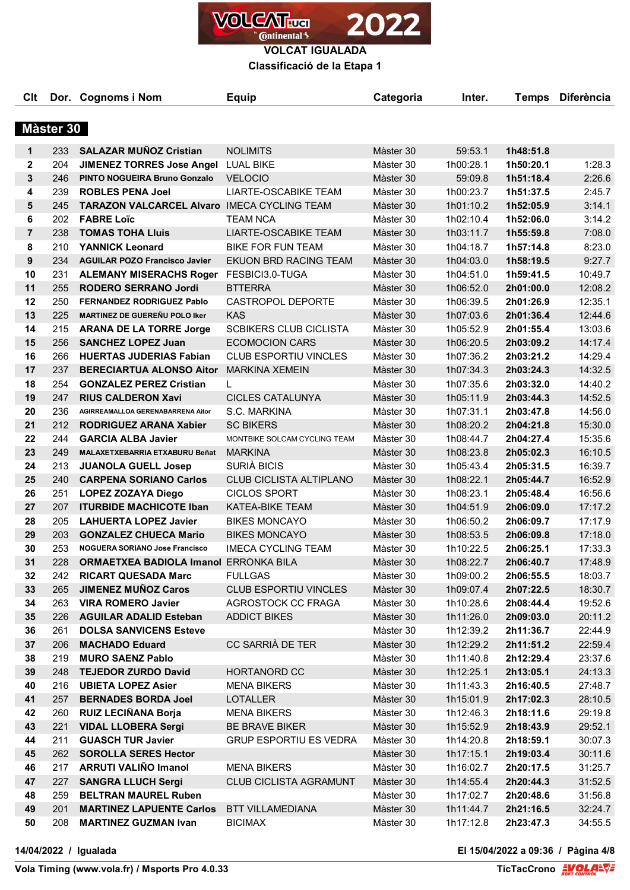

**Classificació de la Etapa 1**

| <b>C</b> lt    |           | Dor. Cognoms i Nom                                 | <b>Equip</b>                   | Categoria | Inter.    | <b>Temps</b> | <b>Diferència</b> |
|----------------|-----------|----------------------------------------------------|--------------------------------|-----------|-----------|--------------|-------------------|
|                | Màster 30 |                                                    |                                |           |           |              |                   |
|                |           |                                                    |                                |           |           |              |                   |
| 1              | 233       | <b>SALAZAR MUÑOZ Cristian</b>                      | <b>NOLIMITS</b>                | Màster 30 | 59:53.1   | 1h48:51.8    |                   |
| $\mathbf{2}$   | 204       | JIMENEZ TORRES Jose Angel LUAL BIKE                |                                | Màster 30 | 1h00:28.1 | 1h50:20.1    | 1:28.3            |
| 3              | 246       | <b>PINTO NOGUEIRA Bruno Gonzalo</b>                | <b>VELOCIO</b>                 | Màster 30 | 59:09.8   | 1h51:18.4    | 2:26.6            |
| 4              | 239       | <b>ROBLES PENA Joel</b>                            | LIARTE-OSCABIKE TEAM           | Màster 30 | 1h00:23.7 | 1h51:37.5    | 2:45.7            |
| 5              | 245       | <b>TARAZON VALCARCEL AIvaro IMECA CYCLING TEAM</b> |                                | Màster 30 | 1h01:10.2 | 1h52:05.9    | 3:14.1            |
| 6              | 202       | <b>FABRE Loïc</b>                                  | <b>TEAM NCA</b>                | Màster 30 | 1h02:10.4 | 1h52:06.0    | 3:14.2            |
| $\overline{7}$ | 238       | <b>TOMAS TOHA Lluis</b>                            | <b>LIARTE-OSCABIKE TEAM</b>    | Màster 30 | 1h03:11.7 | 1h55:59.8    | 7:08.0            |
| 8              | 210       | <b>YANNICK Leonard</b>                             | <b>BIKE FOR FUN TEAM</b>       | Màster 30 | 1h04:18.7 | 1h57:14.8    | 8:23.0            |
| 9              | 234       | <b>AGUILAR POZO Francisco Javier</b>               | EKUON BRD RACING TEAM          | Màster 30 | 1h04:03.0 | 1h58:19.5    | 9:27.7            |
| 10             | 231       | <b>ALEMANY MISERACHS Roger</b>                     | FESBICI3.0-TUGA                | Màster 30 | 1h04:51.0 | 1h59:41.5    | 10:49.7           |
| 11             | 255       | <b>RODERO SERRANO Jordi</b>                        | <b>BTTERRA</b>                 | Màster 30 | 1h06:52.0 | 2h01:00.0    | 12:08.2           |
| 12             | 250       | <b>FERNANDEZ RODRIGUEZ Pablo</b>                   | CASTROPOL DEPORTE              | Màster 30 | 1h06:39.5 | 2h01:26.9    | 12:35.1           |
| 13             | 225       | <b>MARTINEZ DE GUEREÑU POLO Iker</b>               | <b>KAS</b>                     | Màster 30 | 1h07:03.6 | 2h01:36.4    | 12:44.6           |
| 14             | 215       | <b>ARANA DE LA TORRE Jorge</b>                     | <b>SCBIKERS CLUB CICLISTA</b>  | Màster 30 | 1h05:52.9 | 2h01:55.4    | 13:03.6           |
| 15             | 256       | <b>SANCHEZ LOPEZ Juan</b>                          | <b>ECOMOCION CARS</b>          | Màster 30 | 1h06:20.5 | 2h03:09.2    | 14:17.4           |
| 16             | 266       | <b>HUERTAS JUDERIAS Fabian</b>                     | <b>CLUB ESPORTIU VINCLES</b>   | Màster 30 | 1h07:36.2 | 2h03:21.2    | 14:29.4           |
| 17             | 237       | <b>BERECIARTUA ALONSO Aitor</b>                    | <b>MARKINA XEMEIN</b>          | Màster 30 | 1h07:34.3 | 2h03:24.3    | 14:32.5           |
| 18             | 254       | <b>GONZALEZ PEREZ Cristian</b>                     | L                              | Màster 30 | 1h07:35.6 | 2h03:32.0    | 14:40.2           |
| 19             | 247       | <b>RIUS CALDERON Xavi</b>                          | <b>CICLES CATALUNYA</b>        | Màster 30 | 1h05:11.9 | 2h03:44.3    | 14:52.5           |
| 20             | 236       | AGIRREAMALLOA GERENABARRENA Aitor                  | S.C. MARKINA                   | Màster 30 | 1h07:31.1 | 2h03:47.8    | 14:56.0           |
| 21             | 212       | RODRIGUEZ ARANA Xabier                             | <b>SC BIKERS</b>               | Màster 30 | 1h08:20.2 | 2h04:21.8    | 15:30.0           |
| 22             | 244       | <b>GARCIA ALBA Javier</b>                          | MONTBIKE SOLCAM CYCLING TEAM   | Màster 30 | 1h08:44.7 | 2h04:27.4    | 15:35.6           |
| 23             | 249       | MALAXETXEBARRIA ETXABURU Beñat                     | <b>MARKINA</b>                 | Màster 30 | 1h08:23.8 | 2h05:02.3    | 16:10.5           |
| 24             | 213       | <b>JUANOLA GUELL Josep</b>                         | SURIÀ BICIS                    | Màster 30 | 1h05:43.4 | 2h05:31.5    | 16:39.7           |
| 25             | 240       | <b>CARPENA SORIANO Carlos</b>                      | <b>CLUB CICLISTA ALTIPLANO</b> | Màster 30 | 1h08:22.1 | 2h05:44.7    | 16:52.9           |
| 26             | 251       | <b>LOPEZ ZOZAYA Diego</b>                          | <b>CICLOS SPORT</b>            | Màster 30 | 1h08:23.1 | 2h05:48.4    | 16:56.6           |
| 27             | 207       | <b>ITURBIDE MACHICOTE Iban</b>                     | <b>KATEA-BIKE TEAM</b>         | Màster 30 | 1h04:51.9 | 2h06:09.0    | 17:17.2           |
| 28             | 205       | <b>LAHUERTA LOPEZ Javier</b>                       | <b>BIKES MONCAYO</b>           | Màster 30 | 1h06:50.2 | 2h06:09.7    | 17:17.9           |
| 29             | 203       | <b>GONZALEZ CHUECA Mario</b>                       | <b>BIKES MONCAYO</b>           | Màster 30 | 1h08:53.5 | 2h06:09.8    | 17:18.0           |
| 30             | 253       | NOGUERA SORIANO Jose Francisco                     | <b>IMECA CYCLING TEAM</b>      | Màster 30 | 1h10:22.5 | 2h06:25.1    | 17:33.3           |
| 31             | 228       | <b>ORMAETXEA BADIOLA Imanol ERRONKA BILA</b>       |                                | Màster 30 | 1h08:22.7 | 2h06:40.7    | 17:48.9           |
| 32             | 242       | <b>RICART QUESADA Marc</b>                         | <b>FULLGAS</b>                 | Màster 30 | 1h09:00.2 | 2h06:55.5    | 18:03.7           |
| 33             | 265       | <b>JIMENEZ MUNOZ Caros</b>                         | <b>CLUB ESPORTIU VINCLES</b>   | Màster 30 | 1h09:07.4 | 2h07:22.5    | 18:30.7           |
| 34             | 263       | <b>VIRA ROMERO Javier</b>                          | AGROSTOCK CC FRAGA             | Màster 30 | 1h10:28.6 | 2h08:44.4    | 19:52.6           |
| 35             | 226       | <b>AGUILAR ADALID Esteban</b>                      | <b>ADDICT BIKES</b>            | Màster 30 | 1h11:26.0 | 2h09:03.0    | 20:11.2           |
| 36             | 261       | <b>DOLSA SANVICENS Esteve</b>                      |                                | Màster 30 | 1h12:39.2 | 2h11:36.7    | 22:44.9           |
| 37             | 206       | <b>MACHADO Eduard</b>                              | CC SARRIÀ DE TER               | Màster 30 | 1h12:29.2 | 2h11:51.2    | 22:59.4           |
| 38             | 219       | <b>MURO SAENZ Pablo</b>                            |                                | Màster 30 | 1h11:40.8 | 2h12:29.4    | 23:37.6           |
| 39             | 248       | <b>TEJEDOR ZURDO David</b>                         | HORTANORD CC                   | Màster 30 | 1h12:25.1 | 2h13:05.1    | 24:13.3           |
| 40             | 216       | <b>UBIETA LOPEZ Asier</b>                          | <b>MENA BIKERS</b>             | Màster 30 | 1h11:43.3 | 2h16:40.5    | 27:48.7           |
| 41             | 257       | <b>BERNADES BORDA Joel</b>                         | <b>LOTALLER</b>                | Màster 30 | 1h15:01.9 | 2h17:02.3    | 28:10.5           |
| 42             | 260       | <b>RUIZ LECIÑANA Borja</b>                         | <b>MENA BIKERS</b>             | Màster 30 | 1h12:46.3 | 2h18:11.6    | 29:19.8           |
| 43             | 221       | <b>VIDAL LLOBERA Sergi</b>                         | BE BRAVE BIKER                 | Màster 30 | 1h15:52.9 | 2h18:43.9    | 29:52.1           |
| 44             | 211       | <b>GUASCH TUR Javier</b>                           | <b>GRUP ESPORTIU ES VEDRA</b>  | Màster 30 | 1h14:20.8 | 2h18:59.1    | 30:07.3           |
| 45             | 262       | <b>SOROLLA SERES Hector</b>                        |                                | Màster 30 | 1h17:15.1 | 2h19:03.4    | 30:11.6           |
| 46             | 217       | <b>ARRUTI VALIÑO Imanol</b>                        | <b>MENA BIKERS</b>             | Màster 30 | 1h16:02.7 | 2h20:17.5    | 31:25.7           |
| 47             | 227       | <b>SANGRA LLUCH Sergi</b>                          | <b>CLUB CICLISTA AGRAMUNT</b>  | Màster 30 | 1h14:55.4 | 2h20:44.3    | 31:52.5           |
| 48             | 259       | <b>BELTRAN MAUREL Ruben</b>                        |                                | Màster 30 | 1h17:02.7 | 2h20:48.6    | 31:56.8           |
| 49             | 201       | <b>MARTINEZ LAPUENTE Carlos</b>                    | <b>BTT VILLAMEDIANA</b>        | Màster 30 | 1h11:44.7 | 2h21:16.5    | 32:24.7           |
| 50             | 208       | <b>MARTINEZ GUZMAN Ivan</b>                        | <b>BICIMAX</b>                 | Màster 30 | 1h17:12.8 | 2h23:47.3    | 34:55.5           |

**14/04/2022 / Igualada El 15/04/2022 a 09:36 / Pàgina 4/8**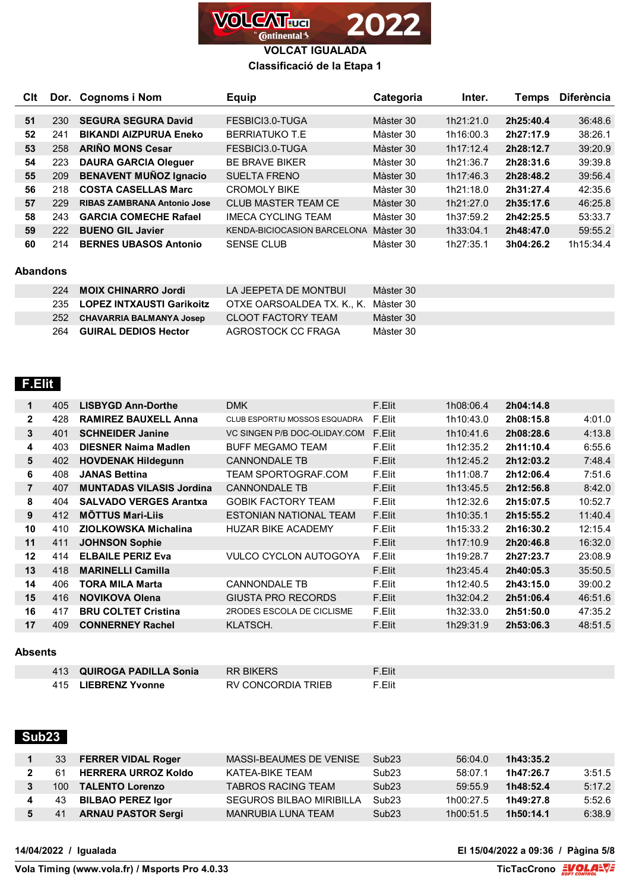

# **Classificació de la Etapa 1**

| CIt |     | Dor. Cognoms i Nom                 | <b>Equip</b>                       | Categoria | Inter.    | Temps     | <b>Diferència</b> |
|-----|-----|------------------------------------|------------------------------------|-----------|-----------|-----------|-------------------|
|     |     |                                    |                                    |           |           |           |                   |
| 51  | 230 | <b>SEGURA SEGURA David</b>         | FESBICI3.0-TUGA                    | Màster 30 | 1h21:21.0 | 2h25:40.4 | 36:48.6           |
| 52  | 241 | <b>BIKANDI AIZPURUA Eneko</b>      | <b>BERRIATUKO T.E</b>              | Màster 30 | 1h16:00.3 | 2h27:17.9 | 38:26.1           |
| 53  | 258 | <b>ARIÑO MONS Cesar</b>            | FESBICI3.0-TUGA                    | Màster 30 | 1h17:12.4 | 2h28:12.7 | 39:20.9           |
| 54  | 223 | <b>DAURA GARCIA Oleguer</b>        | <b>BE BRAVE BIKER</b>              | Màster 30 | 1h21:36.7 | 2h28:31.6 | 39:39.8           |
| 55  | 209 | <b>BENAVENT MUÑOZ Ignacio</b>      | <b>SUELTA FRENO</b>                | Màster 30 | 1h17:46.3 | 2h28:48.2 | 39:56.4           |
| 56  | 218 | <b>COSTA CASELLAS Marc</b>         | <b>CROMOLY BIKE</b>                | Màster 30 | 1h21:18.0 | 2h31:27.4 | 42:35.6           |
| 57  | 229 | <b>RIBAS ZAMBRANA Antonio Jose</b> | <b>CLUB MASTER TEAM CE</b>         | Màster 30 | 1h21:27.0 | 2h35:17.6 | 46:25.8           |
| 58  | 243 | <b>GARCIA COMECHE Rafael</b>       | <b>IMECA CYCLING TEAM</b>          | Màster 30 | 1h37:59.2 | 2h42:25.5 | 53:33.7           |
| 59  | 222 | <b>BUENO GIL Javier</b>            | <b>KENDA-BICIOCASION BARCELONA</b> | Màster 30 | 1h33:04.1 | 2h48:47.0 | 59:55.2           |
| 60  | 214 | <b>BERNES UBASOS Antonio</b>       | <b>SENSE CLUB</b>                  | Màster 30 | 1h27:35.1 | 3h04:26.2 | 1h15:34.4         |

#### **Abandons**

|     | 224 MOIX CHINARRO Jordi       | <b>LA JEEPETA DE MONTRUL</b>         | Màster 30 |
|-----|-------------------------------|--------------------------------------|-----------|
|     | 235 LOPEZ INTXAUSTI Garikoitz | OTXE OARSOALDEA TX, K., K. Màster 30 |           |
|     | 252 CHAVARRIA BALMANYA Josep  | CLOOT FACTORY TEAM                   | Màster 30 |
| 264 | <b>GUIRAL DEDIOS Hector</b>   | AGROSTOCK CC FRAGA                   | Màster 30 |

### **F.Elit**

| 1              | 405 | <b>LISBYGD Ann-Dorthe</b>       | <b>DMK</b>                    | F.Elit | 1h08:06.4 | 2h04:14.8 |         |
|----------------|-----|---------------------------------|-------------------------------|--------|-----------|-----------|---------|
| $\mathbf{2}$   | 428 | <b>RAMIREZ BAUXELL Anna</b>     | CLUB ESPORTIU MOSSOS ESQUADRA | F.Elit | 1h10:43.0 | 2h08:15.8 | 4:01.0  |
| 3              | 401 | <b>SCHNEIDER Janine</b>         | VC SINGEN P/B DOC-OLIDAY.COM  | F.Elit | 1h10:41.6 | 2h08:28.6 | 4:13.8  |
| 4              | 403 | <b>DIESNER Naima Madlen</b>     | <b>BUFF MEGAMO TEAM</b>       | F.Elit | 1h12:35.2 | 2h11:10.4 | 6:55.6  |
| 5              | 402 | <b>HOVDENAK Hildegunn</b>       | <b>CANNONDALE TB</b>          | F.Elit | 1h12:45.2 | 2h12:03.2 | 7:48.4  |
| 6              | 408 | <b>JANAS Bettina</b>            | <b>TEAM SPORTOGRAF.COM</b>    | F.Elit | 1h11:08.7 | 2h12:06.4 | 7:51.6  |
| $\overline{7}$ | 407 | <b>MUNTADAS VILASIS Jordina</b> | <b>CANNONDALE TB</b>          | F.Elit | 1h13:45.5 | 2h12:56.8 | 8:42.0  |
| 8              | 404 | <b>SALVADO VERGES Arantxa</b>   | <b>GOBIK FACTORY TEAM</b>     | F.Elit | 1h12:32.6 | 2h15:07.5 | 10:52.7 |
| 9              | 412 | <b>MÖTTUS Mari-Lijs</b>         | ESTONIAN NATIONAL TEAM        | F.Elit | 1h10:35.1 | 2h15:55.2 | 11:40.4 |
| 10             | 410 | ZIOLKOWSKA Michalina            | <b>HUZAR BIKE ACADEMY</b>     | F.Elit | 1h15:33.2 | 2h16:30.2 | 12:15.4 |
| 11             | 411 | <b>JOHNSON Sophie</b>           |                               | F.Elit | 1h17:10.9 | 2h20:46.8 | 16:32.0 |
| 12             | 414 | <b>ELBAILE PERIZ Eva</b>        | <b>VULCO CYCLON AUTOGOYA</b>  | F.Elit | 1h19:28.7 | 2h27:23.7 | 23:08.9 |
| 13             | 418 | <b>MARINELLI Camilla</b>        |                               | F.Elit | 1h23:45.4 | 2h40:05.3 | 35:50.5 |
| 14             | 406 | <b>TORA MILA Marta</b>          | <b>CANNONDALE TB</b>          | F.Elit | 1h12:40.5 | 2h43:15.0 | 39:00.2 |
| 15             | 416 | <b>NOVIKOVA Olena</b>           | GIUSTA PRO RECORDS            | F.Elit | 1h32:04.2 | 2h51:06.4 | 46:51.6 |
| 16             | 417 | <b>BRU COLTET Cristina</b>      | 2RODES ESCOLA DE CICLISME     | F.Elit | 1h32:33.0 | 2h51:50.0 | 47:35.2 |
| 17             | 409 | <b>CONNERNEY Rachel</b>         | KLATSCH.                      | F.Elit | 1h29:31.9 | 2h53:06.3 | 48:51.5 |

#### **Absents**

| 413 QUIROGA PADILLA Sonia | <b>RR BIKERS</b>   | F.Flit |
|---------------------------|--------------------|--------|
| 415 LIEBRENZ Yvonne       | RV CONCORDIA TRIEB | F.Flit |

## **Sub23**

|             | 33 | <b>FERRER VIDAL Roger</b> | MASSI-BEAUMES DE VENISE   | Sub <sub>23</sub> | 56:04.0   | 1h43:35.2 |        |
|-------------|----|---------------------------|---------------------------|-------------------|-----------|-----------|--------|
|             | 61 | HERRERA URROZ Koldo       | KATEA-BIKE TEAM           | Sub <sub>23</sub> | 58:07.1   | 1h47:26.7 | 3:51.5 |
| $3^{\circ}$ |    | 100 TALENTO Lorenzo       | <b>TABROS RACING TEAM</b> | Sub23             | 59:55.9   | 1h48:52.4 | 5:17.2 |
| 4           | 43 | <b>BILBAO PEREZ Igor</b>  | SEGUROS BILBAO MIRIBILLA  | Sub23             | 1h00:27.5 | 1h49:27.8 | 5:52.6 |
|             | 41 | <b>ARNAU PASTOR Sergi</b> | MANRUBIA LUNA TEAM        | Sub23             | 1h00:51.5 | 1h50:14.1 | 6:38.9 |

**14/04/2022 / Igualada El 15/04/2022 a 09:36 / Pàgina 5/8**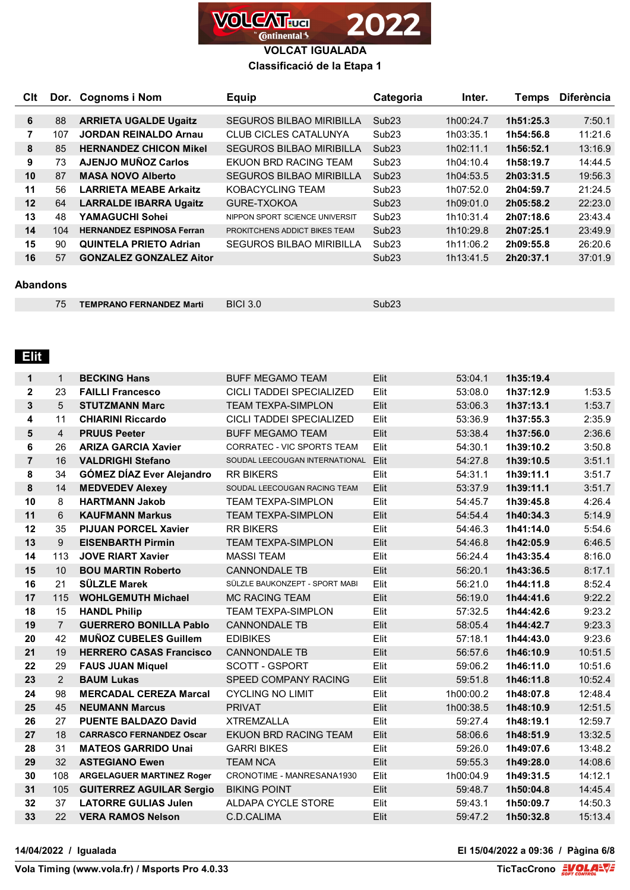

### **Classificació de la Etapa 1**

| <b>C</b> lt |     | Dor. Cognoms i Nom               | Equip                           | Categoria         | Inter.    | <b>Temps</b> | <b>Diferència</b> |
|-------------|-----|----------------------------------|---------------------------------|-------------------|-----------|--------------|-------------------|
|             |     |                                  |                                 |                   |           |              |                   |
| 6           | 88  | <b>ARRIETA UGALDE Ugaitz</b>     | <b>SEGUROS BILBAO MIRIBILLA</b> | Sub <sub>23</sub> | 1h00:24.7 | 1h51:25.3    | 7:50.1            |
| 7           | 107 | <b>JORDAN REINALDO Arnau</b>     | <b>CLUB CICLES CATALUNYA</b>    | Sub <sub>23</sub> | 1h03:35.1 | 1h54:56.8    | 11:21.6           |
| 8           | 85  | <b>HERNANDEZ CHICON Mikel</b>    | <b>SEGUROS BILBAO MIRIBILLA</b> | Sub <sub>23</sub> | 1h02:11.1 | 1h56:52.1    | 13:16.9           |
| 9           | 73  | <b>AJENJO MUÑOZ Carlos</b>       | EKUON BRD RACING TEAM           | Sub <sub>23</sub> | 1h04:10.4 | 1h58:19.7    | 14:44.5           |
| 10          | 87  | <b>MASA NOVO Alberto</b>         | <b>SEGUROS BILBAO MIRIBILLA</b> | Sub <sub>23</sub> | 1h04:53.5 | 2h03:31.5    | 19:56.3           |
| 11          | 56  | <b>LARRIETA MEABE Arkaitz</b>    | KOBACYCLING TEAM                | Sub <sub>23</sub> | 1h07:52.0 | 2h04:59.7    | 21:24.5           |
| 12          | 64  | <b>LARRALDE IBARRA Ugaitz</b>    | GURE-TXOKOA                     | Sub <sub>23</sub> | 1h09:01.0 | 2h05:58.2    | 22:23.0           |
| 13          | 48  | YAMAGUCHI Sohei                  | NIPPON SPORT SCIENCE UNIVERSIT  | Sub <sub>23</sub> | 1h10:31.4 | 2h07:18.6    | 23:43.4           |
| 14          | 104 | <b>HERNANDEZ ESPINOSA Ferran</b> | PROKITCHENS ADDICT BIKES TEAM   | Sub <sub>23</sub> | 1h10:29.8 | 2h07:25.1    | 23:49.9           |
| 15          | 90  | <b>QUINTELA PRIETO Adrian</b>    | <b>SEGUROS BILBAO MIRIBILLA</b> | Sub <sub>23</sub> | 1h11:06.2 | 2h09:55.8    | 26:20.6           |
| 16          | 57  | <b>GONZALEZ GONZALEZ Aitor</b>   |                                 | Sub <sub>23</sub> | 1h13:41.5 | 2h20:37.1    | 37:01.9           |

### **Abandons**

| <b>TEMPRANO FERNANDEZ Marti</b> | <b>BICI 3.0</b> |  |
|---------------------------------|-----------------|--|

# **Elit**

| 1              | $\mathbf{1}$   | <b>BECKING Hans</b>              | <b>BUFF MEGAMO TEAM</b>           | Elit | 53:04.1   | 1h35:19.4 |         |
|----------------|----------------|----------------------------------|-----------------------------------|------|-----------|-----------|---------|
| $\mathbf{2}$   | 23             | <b>FAILLI Francesco</b>          | CICLI TADDEI SPECIALIZED          | Elit | 53:08.0   | 1h37:12.9 | 1:53.5  |
| 3              | 5              | <b>STUTZMANN Marc</b>            | <b>TEAM TEXPA-SIMPLON</b>         | Elit | 53:06.3   | 1h37:13.1 | 1:53.7  |
| 4              | 11             | <b>CHIARINI Riccardo</b>         | CICLI TADDEI SPECIALIZED          | Elit | 53:36.9   | 1h37:55.3 | 2:35.9  |
| 5              | $\overline{4}$ | <b>PRUUS Peeter</b>              | <b>BUFF MEGAMO TEAM</b>           | Elit | 53:38.4   | 1h37:56.0 | 2:36.6  |
| 6              | 26             | <b>ARIZA GARCIA Xavier</b>       | <b>CORRATEC - VIC SPORTS TEAM</b> | Elit | 54:30.1   | 1h39:10.2 | 3:50.8  |
| $\overline{7}$ | 16             | <b>VALDRIGHI Stefano</b>         | SOUDAL LEECOUGAN INTERNATIONAL    | Elit | 54:27.8   | 1h39:10.5 | 3:51.1  |
| 8              | 34             | <b>GÓMEZ DÍAZ Ever Alejandro</b> | <b>RR BIKERS</b>                  | Elit | 54:31.1   | 1h39:11.1 | 3:51.7  |
| 8              | 14             | <b>MEDVEDEV Alexey</b>           | SOUDAL LEECOUGAN RACING TEAM      | Elit | 53:37.9   | 1h39:11.1 | 3:51.7  |
| 10             | 8              | <b>HARTMANN Jakob</b>            | <b>TEAM TEXPA-SIMPLON</b>         | Elit | 54:45.7   | 1h39:45.8 | 4:26.4  |
| 11             | 6              | <b>KAUFMANN Markus</b>           | <b>TEAM TEXPA-SIMPLON</b>         | Elit | 54:54.4   | 1h40:34.3 | 5:14.9  |
| 12             | 35             | <b>PIJUAN PORCEL Xavier</b>      | <b>RR BIKERS</b>                  | Elit | 54:46.3   | 1h41:14.0 | 5:54.6  |
| 13             | 9              | <b>EISENBARTH Pirmin</b>         | <b>TEAM TEXPA-SIMPLON</b>         | Elit | 54:46.8   | 1h42:05.9 | 6:46.5  |
| 14             | 113            | <b>JOVE RIART Xavier</b>         | <b>MASSI TEAM</b>                 | Elit | 56:24.4   | 1h43:35.4 | 8:16.0  |
| 15             | 10             | <b>BOU MARTIN Roberto</b>        | <b>CANNONDALE TB</b>              | Elit | 56:20.1   | 1h43:36.5 | 8:17.1  |
| 16             | 21             | <b>SÜLZLE Marek</b>              | SÜLZLE BAUKONZEPT - SPORT MABI    | Elit | 56:21.0   | 1h44:11.8 | 8:52.4  |
| 17             | 115            | <b>WOHLGEMUTH Michael</b>        | <b>MC RACING TEAM</b>             | Elit | 56:19.0   | 1h44:41.6 | 9:22.2  |
| 18             | 15             | <b>HANDL Philip</b>              | <b>TEAM TEXPA-SIMPLON</b>         | Elit | 57:32.5   | 1h44:42.6 | 9:23.2  |
| 19             | $\overline{7}$ | <b>GUERRERO BONILLA Pablo</b>    | <b>CANNONDALE TB</b>              | Elit | 58:05.4   | 1h44:42.7 | 9:23.3  |
| 20             | 42             | <b>MUÑOZ CUBELES Guillem</b>     | <b>EDIBIKES</b>                   | Elit | 57:18.1   | 1h44:43.0 | 9:23.6  |
| 21             | 19             | <b>HERRERO CASAS Francisco</b>   | <b>CANNONDALE TB</b>              | Elit | 56:57.6   | 1h46:10.9 | 10:51.5 |
| 22             | 29             | <b>FAUS JUAN Miquel</b>          | <b>SCOTT - GSPORT</b>             | Elit | 59:06.2   | 1h46:11.0 | 10:51.6 |
| 23             | $\overline{2}$ | <b>BAUM Lukas</b>                | SPEED COMPANY RACING              | Elit | 59:51.8   | 1h46:11.8 | 10:52.4 |
| 24             | 98             | <b>MERCADAL CEREZA Marcal</b>    | <b>CYCLING NO LIMIT</b>           | Elit | 1h00:00.2 | 1h48:07.8 | 12:48.4 |
| 25             | 45             | <b>NEUMANN Marcus</b>            | <b>PRIVAT</b>                     | Elit | 1h00:38.5 | 1h48:10.9 | 12:51.5 |
| 26             | 27             | <b>PUENTE BALDAZO David</b>      | <b>XTREMZALLA</b>                 | Elit | 59:27.4   | 1h48:19.1 | 12:59.7 |
| 27             | 18             | <b>CARRASCO FERNANDEZ Oscar</b>  | EKUON BRD RACING TEAM             | Elit | 58:06.6   | 1h48:51.9 | 13:32.5 |
| 28             | 31             | <b>MATEOS GARRIDO Unai</b>       | <b>GARRI BIKES</b>                | Elit | 59:26.0   | 1h49:07.6 | 13:48.2 |
| 29             | 32             | <b>ASTEGIANO Ewen</b>            | <b>TEAM NCA</b>                   | Elit | 59:55.3   | 1h49:28.0 | 14:08.6 |
| 30             | 108            | <b>ARGELAGUER MARTINEZ Roger</b> | CRONOTIME - MANRESANA1930         | Elit | 1h00:04.9 | 1h49:31.5 | 14:12.1 |
| 31             | 105            | <b>GUITERREZ AGUILAR Sergio</b>  | <b>BIKING POINT</b>               | Elit | 59:48.7   | 1h50:04.8 | 14:45.4 |
| 32             | 37             | <b>LATORRE GULIAS Julen</b>      | ALDAPA CYCLE STORE                | Elit | 59:43.1   | 1h50:09.7 | 14:50.3 |
| 33             | 22             | <b>VERA RAMOS Nelson</b>         | C.D.CALIMA                        | Elit | 59:47.2   | 1h50:32.8 | 15:13.4 |

**14/04/2022 / Igualada El 15/04/2022 a 09:36 / Pàgina 6/8**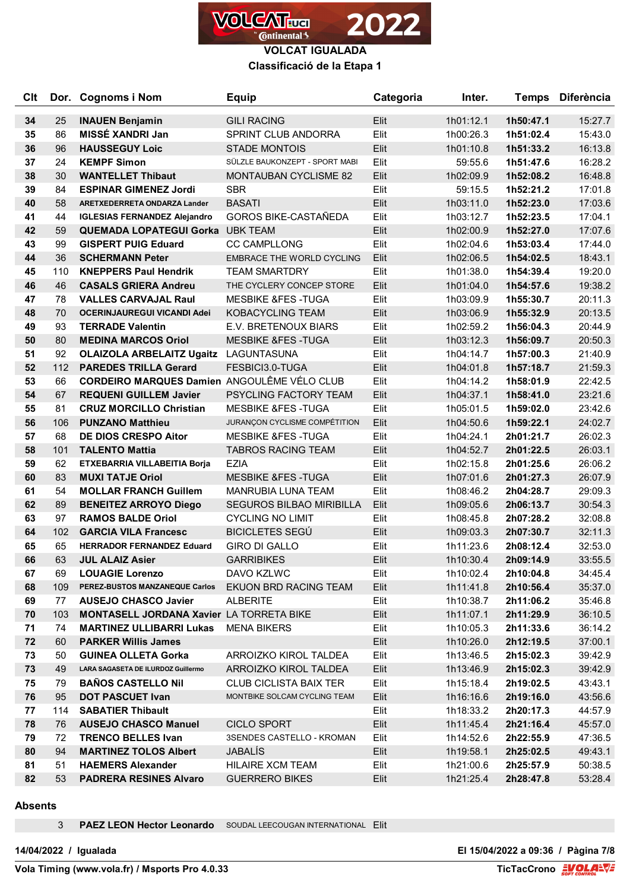

**Classificació de la Etapa 1**

| <b>Clt</b> |     | Dor. Cognoms i Nom                           | <b>Equip</b>                     | Categoria | Inter.    | <b>Temps</b> | <b>Diferència</b> |
|------------|-----|----------------------------------------------|----------------------------------|-----------|-----------|--------------|-------------------|
| 34         | 25  | <b>INAUEN Benjamin</b>                       | <b>GILI RACING</b>               | Elit      | 1h01:12.1 | 1h50:47.1    | 15:27.7           |
| 35         | 86  | MISSÉ XANDRI Jan                             | <b>SPRINT CLUB ANDORRA</b>       | Elit      | 1h00:26.3 | 1h51:02.4    | 15:43.0           |
| 36         | 96  | <b>HAUSSEGUY Loic</b>                        | <b>STADE MONTOIS</b>             | Elit      | 1h01:10.8 | 1h51:33.2    | 16:13.8           |
| 37         | 24  | <b>KEMPF Simon</b>                           | SÜLZLE BAUKONZEPT - SPORT MABI   | Elit      | 59:55.6   | 1h51:47.6    | 16:28.2           |
| 38         | 30  | <b>WANTELLET Thibaut</b>                     | <b>MONTAUBAN CYCLISME 82</b>     | Elit      | 1h02:09.9 | 1h52:08.2    | 16:48.8           |
| 39         | 84  | <b>ESPINAR GIMENEZ Jordi</b>                 | <b>SBR</b>                       | Elit      | 59:15.5   | 1h52:21.2    | 17:01.8           |
| 40         | 58  | ARETXEDERRETA ONDARZA Lander                 | <b>BASATI</b>                    | Elit      | 1h03:11.0 | 1h52:23.0    | 17:03.6           |
| 41         | 44  | <b>IGLESIAS FERNANDEZ Alejandro</b>          | <b>GOROS BIKE-CASTAÑEDA</b>      | Elit      | 1h03:12.7 | 1h52:23.5    | 17:04.1           |
| 42         | 59  | <b>QUEMADA LOPATEGUI Gorka UBK TEAM</b>      |                                  | Elit      | 1h02:00.9 | 1h52:27.0    | 17:07.6           |
| 43         | 99  | <b>GISPERT PUIG Eduard</b>                   | <b>CC CAMPLLONG</b>              | Elit      | 1h02:04.6 | 1h53:03.4    | 17:44.0           |
| 44         | 36  | <b>SCHERMANN Peter</b>                       | <b>EMBRACE THE WORLD CYCLING</b> | Elit      | 1h02:06.5 | 1h54:02.5    | 18:43.1           |
| 45         | 110 | <b>KNEPPERS Paul Hendrik</b>                 | <b>TEAM SMARTDRY</b>             | Elit      | 1h01:38.0 | 1h54:39.4    | 19:20.0           |
| 46         | 46  | <b>CASALS GRIERA Andreu</b>                  | THE CYCLERY CONCEP STORE         | Elit      | 1h01:04.0 | 1h54:57.6    | 19:38.2           |
| 47         | 78  | <b>VALLES CARVAJAL Raul</b>                  | <b>MESBIKE &amp;FES-TUGA</b>     | Elit      | 1h03:09.9 | 1h55:30.7    | 20:11.3           |
| 48         | 70  | <b>OCERINJAUREGUI VICANDI Adei</b>           | <b>KOBACYCLING TEAM</b>          | Elit      | 1h03:06.9 | 1h55:32.9    | 20:13.5           |
| 49         | 93  | <b>TERRADE Valentin</b>                      | E.V. BRETENOUX BIARS             | Elit      | 1h02:59.2 | 1h56:04.3    | 20:44.9           |
| 50         | 80  | <b>MEDINA MARCOS Oriol</b>                   | <b>MESBIKE &amp;FES-TUGA</b>     | Elit      | 1h03:12.3 | 1h56:09.7    | 20:50.3           |
| 51         | 92  | <b>OLAIZOLA ARBELAITZ Ugaitz LAGUNTASUNA</b> |                                  | Elit      | 1h04:14.7 | 1h57:00.3    | 21:40.9           |
| 52         | 112 | <b>PAREDES TRILLA Gerard</b>                 | FESBICI3.0-TUGA                  | Elit      | 1h04:01.8 | 1h57:18.7    | 21:59.3           |
| 53         | 66  | CORDEIRO MARQUES Damien ANGOULÊME VÉLO CLUB  |                                  | Elit      | 1h04:14.2 | 1h58:01.9    | 22:42.5           |
| 54         | 67  | <b>REQUENI GUILLEM Javier</b>                | PSYCLING FACTORY TEAM            | Elit      | 1h04:37.1 | 1h58:41.0    | 23:21.6           |
| 55         | 81  | <b>CRUZ MORCILLO Christian</b>               | <b>MESBIKE &amp;FES-TUGA</b>     | Elit      | 1h05:01.5 | 1h59:02.0    | 23:42.6           |
| 56         | 106 | <b>PUNZANO Matthieu</b>                      | JURANÇON CYCLISME COMPÉTITION    | Elit      | 1h04:50.6 | 1h59:22.1    | 24:02.7           |
| 57         | 68  | <b>DE DIOS CRESPO Aitor</b>                  | <b>MESBIKE &amp;FES-TUGA</b>     | Elit      | 1h04:24.1 | 2h01:21.7    | 26:02.3           |
| 58         | 101 | <b>TALENTO Mattia</b>                        | <b>TABROS RACING TEAM</b>        | Elit      | 1h04:52.7 | 2h01:22.5    | 26:03.1           |
| 59         | 62  | ETXEBARRIA VILLABEITIA Borja                 | <b>EZIA</b>                      | Elit      | 1h02:15.8 | 2h01:25.6    | 26:06.2           |
| 60         | 83  | <b>MUXI TATJE Oriol</b>                      | <b>MESBIKE &amp;FES-TUGA</b>     | Elit      | 1h07:01.6 | 2h01:27.3    | 26:07.9           |
| 61         | 54  | <b>MOLLAR FRANCH Guillem</b>                 | <b>MANRUBIA LUNA TEAM</b>        | Elit      | 1h08:46.2 | 2h04:28.7    | 29:09.3           |
| 62         | 89  | <b>BENEITEZ ARROYO Diego</b>                 | <b>SEGUROS BILBAO MIRIBILLA</b>  | Elit      | 1h09:05.6 | 2h06:13.7    | 30:54.3           |
| 63         | 97  | <b>RAMOS BALDE Oriol</b>                     | <b>CYCLING NO LIMIT</b>          | Elit      | 1h08:45.8 | 2h07:28.2    | 32:08.8           |
| 64         | 102 | <b>GARCIA VILA Francesc</b>                  | <b>BICICLETES SEGÚ</b>           | Elit      | 1h09:03.3 | 2h07:30.7    | 32:11.3           |
| 65         | 65  | <b>HERRADOR FERNANDEZ Eduard</b>             | <b>GIRO DI GALLO</b>             | Elit      | 1h11:23.6 | 2h08:12.4    | 32:53.0           |
| 66         | 63  | <b>JUL ALAIZ Asier</b>                       | <b>GARRIBIKES</b>                | Elit      | 1h10:30.4 | 2h09:14.9    | 33:55.5           |
| 67         | 69  | <b>LOUAGIE Lorenzo</b>                       | DAVO KZLWC                       | Elit      | 1h10:02.4 | 2h10:04.8    | 34:45.4           |
| 68         | 109 | PEREZ-BUSTOS MANZANEQUE Carlos               | EKUON BRD RACING TEAM            | Elit      | 1h11:41.8 | 2h10:56.4    | 35:37.0           |
| 69         | 77  | <b>AUSEJO CHASCO Javier</b>                  | <b>ALBERITE</b>                  | Elit      | 1h10:38.7 | 2h11:06.2    | 35:46.8           |
| 70         | 103 | MONTASELL JORDANA Xavier LA TORRETA BIKE     |                                  | Elit      | 1h11:07.1 | 2h11:29.9    | 36:10.5           |
| 71         | 74  | <b>MARTINEZ ULLIBARRI Lukas</b>              | <b>MENA BIKERS</b>               | Elit      | 1h10:05.3 | 2h11:33.6    | 36:14.2           |
| 72         | 60  | <b>PARKER Willis James</b>                   |                                  | Elit      | 1h10:26.0 | 2h12:19.5    | 37:00.1           |
| 73         | 50  | <b>GUINEA OLLETA Gorka</b>                   | ARROIZKO KIROL TALDEA            | Elit      | 1h13:46.5 | 2h15:02.3    | 39:42.9           |
| 73         | 49  | LARA SAGASETA DE ILURDOZ Guillermo           | ARROIZKO KIROL TALDEA            | Elit      | 1h13:46.9 | 2h15:02.3    | 39:42.9           |
| 75         | 79  | <b>BAÑOS CASTELLO Nil</b>                    | <b>CLUB CICLISTA BAIX TER</b>    | Elit      | 1h15:18.4 | 2h19:02.5    | 43:43.1           |
| 76         | 95  | <b>DOT PASCUET Ivan</b>                      | MONTBIKE SOLCAM CYCLING TEAM     | Elit      | 1h16:16.6 | 2h19:16.0    | 43:56.6           |
| 77         | 114 | <b>SABATIER Thibault</b>                     |                                  | Elit      | 1h18:33.2 | 2h20:17.3    | 44:57.9           |
| 78         | 76  | <b>AUSEJO CHASCO Manuel</b>                  | <b>CICLO SPORT</b>               | Elit      | 1h11:45.4 | 2h21:16.4    | 45:57.0           |
| 79         | 72  | <b>TRENCO BELLES Ivan</b>                    | 3SENDES CASTELLO - KROMAN        | Elit      | 1h14:52.6 | 2h22:55.9    | 47:36.5           |
| 80         | 94  | <b>MARTINEZ TOLOS Albert</b>                 | JABALÍS                          | Elit      | 1h19:58.1 | 2h25:02.5    | 49:43.1           |
| 81         | 51  | <b>HAEMERS Alexander</b>                     | HILAIRE XCM TEAM                 | Elit      | 1h21:00.6 | 2h25:57.9    | 50:38.5           |
| 82         | 53  | <b>PADRERA RESINES Alvaro</b>                | <b>GUERRERO BIKES</b>            | Elit      | 1h21:25.4 | 2h28:47.8    | 53:28.4           |
|            |     |                                              |                                  |           |           |              |                   |

#### **Absents**

**PAEZ LEON Hector Leonardo** SOUDAL LEECOUGAN INTERNATIONAL Elit